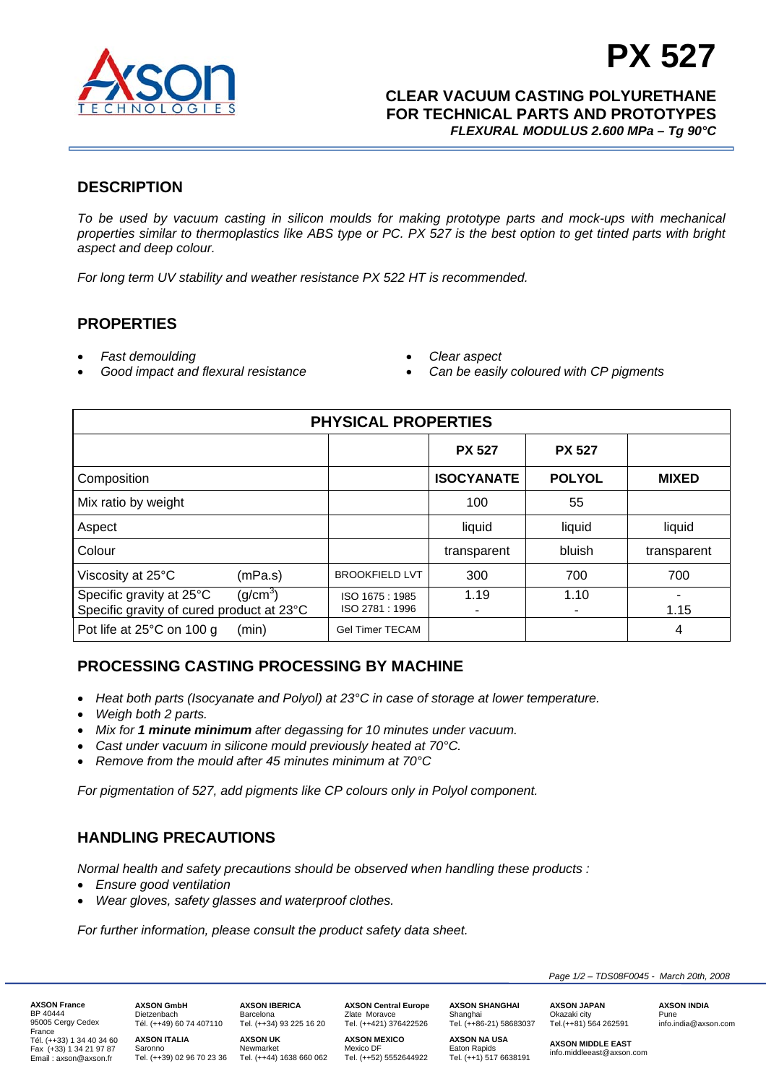

# **PX 527**

 **CLEAR VACUUM CASTING POLYURETHANE FOR TECHNICAL PARTS AND PROTOTYPES**  *FLEXURAL MODULUS 2.600 MPa – Tg 90°C*

# **DESCRIPTION**

*To be used by vacuum casting in silicon moulds for making prototype parts and mock-ups with mechanical properties similar to thermoplastics like ABS type or PC. PX 527 is the best option to get tinted parts with bright aspect and deep colour.* 

*For long term UV stability and weather resistance PX 522 HT is recommended.* 

## **PROPERTIES**

- *Fast demoulding*
- *Good impact and flexural resistance*
- *Clear aspect*
- *Can be easily coloured with CP pigments*

| <b>PHYSICAL PROPERTIES</b>                                            |                      |                                  |                   |               |              |  |  |
|-----------------------------------------------------------------------|----------------------|----------------------------------|-------------------|---------------|--------------|--|--|
|                                                                       |                      |                                  | <b>PX 527</b>     | <b>PX 527</b> |              |  |  |
| Composition                                                           |                      |                                  | <b>ISOCYANATE</b> | <b>POLYOL</b> | <b>MIXED</b> |  |  |
| Mix ratio by weight                                                   |                      |                                  | 100               | 55            |              |  |  |
| Aspect                                                                |                      |                                  | liquid            | liquid        | liquid       |  |  |
| Colour                                                                |                      |                                  | transparent       | bluish        | transparent  |  |  |
| Viscosity at 25°C                                                     | (mPa.s)              | <b>BROOKFIELD LVT</b>            | 300               | 700           | 700          |  |  |
| Specific gravity at 25°C<br>Specific gravity of cured product at 23°C | (g/cm <sup>3</sup> ) | ISO 1675: 1985<br>ISO 2781: 1996 | 1.19              | 1.10<br>۰     | 1.15         |  |  |
| Pot life at 25°C on 100 g                                             | (min)                | <b>Gel Timer TECAM</b>           |                   |               | 4            |  |  |

# **PROCESSING CASTING PROCESSING BY MACHINE**

- *Heat both parts (Isocyanate and Polyol) at 23°C in case of storage at lower temperature.*
- *Weigh both 2 parts.*
- *Mix for 1 minute minimum after degassing for 10 minutes under vacuum.*
- *Cast under vacuum in silicone mould previously heated at 70°C.*
- *Remove from the mould after 45 minutes minimum at 70°C*

*For pigmentation of 527, add pigments like CP colours only in Polyol component.* 

# **HANDLING PRECAUTIONS**

*Normal health and safety precautions should be observed when handling these products :* 

- *Ensure good ventilation*
- *Wear gloves, safety glasses and waterproof clothes.*

*For further information, please consult the product safety data sheet.*

**AXSON France**  BP 40444 95005 Cergy Cedex France Tél. (++33) 1 34 40 34 60 Fax (+33) 1 34 21 97 87 Email : axson@axson.fr

**AXSON GmbH**  Dietzenbach Tél. (++49) 60 74 407110 **AXSON ITALIA** 

**AXSON IBERICA**  Barcelona Tel. (++34) 93 225 16 20

Saronno Tel. (++39) 02 96 70 23 36 Newmarket Tel. (++44) 1638 660 062 **AXSON UK** 

**AXSON Central Europe**  Zlate Moravce Tel. (++421) 376422526

**AXSON MEXICO**  Mexico DF Tel. (++52) 5552644922 **AXSON SHANGHAI**  Shanghai Tel. (++86-21) 58683037

**AXSON NA USA** 

**AXSON JAPAN**  Okazaki city Tel.(++81) 564 262591 **AXSON INDIA**  Pune info.india@axson.com

Eaton Rapids Tel. (++1) 517 6638191 **AXSON MIDDLE EAST** 

info.middleeast@axson.com

*Page 1/2 – TDS08F0045 - March 20th, 2008*